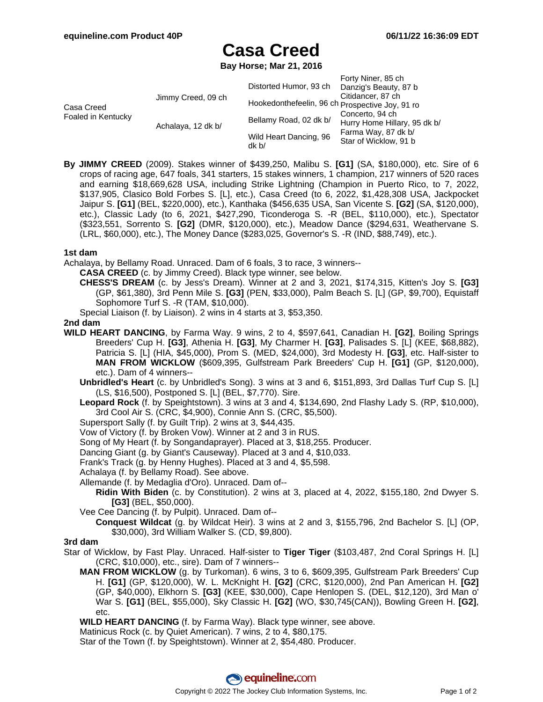Forty Niner, 85 ch

# **Casa Creed**

**Bay Horse; Mar 21, 2016**

| Casa Creed<br>Foaled in Kentucky |                    | Distorted Humor, 93 ch                          | <b>FUILY INITIBI, OU UT</b><br>Danzig's Beauty, 87 b                                            |
|----------------------------------|--------------------|-------------------------------------------------|-------------------------------------------------------------------------------------------------|
|                                  | Jimmy Creed, 09 ch | Hookedonthefeelin, 96 ch Prospective Joy, 91 ro | Citidancer, 87 ch                                                                               |
|                                  | Achalaya, 12 dk b/ | Bellamy Road, 02 dk b/                          | Concerto, 94 ch<br>Hurry Home Hillary, 95 dk b/<br>Farma Way, 87 dk b/<br>Star of Wicklow, 91 b |
|                                  |                    | Wild Heart Dancing, 96                          |                                                                                                 |
|                                  |                    | dk b/                                           |                                                                                                 |

**By JIMMY CREED** (2009). Stakes winner of \$439,250, Malibu S. **[G1]** (SA, \$180,000), etc. Sire of 6 crops of racing age, 647 foals, 341 starters, 15 stakes winners, 1 champion, 217 winners of 520 races and earning \$18,669,628 USA, including Strike Lightning (Champion in Puerto Rico, to 7, 2022, \$137,905, Clasico Bold Forbes S. [L], etc.), Casa Creed (to 6, 2022, \$1,428,308 USA, Jackpocket Jaipur S. **[G1]** (BEL, \$220,000), etc.), Kanthaka (\$456,635 USA, San Vicente S. **[G2]** (SA, \$120,000), etc.), Classic Lady (to 6, 2021, \$427,290, Ticonderoga S. -R (BEL, \$110,000), etc.), Spectator (\$323,551, Sorrento S. **[G2]** (DMR, \$120,000), etc.), Meadow Dance (\$294,631, Weathervane S. (LRL, \$60,000), etc.), The Money Dance (\$283,025, Governor's S. -R (IND, \$88,749), etc.).

## **1st dam**

Achalaya, by Bellamy Road. Unraced. Dam of 6 foals, 3 to race, 3 winners--

**CASA CREED** (c. by Jimmy Creed). Black type winner, see below.

**CHESS'S DREAM** (c. by Jess's Dream). Winner at 2 and 3, 2021, \$174,315, Kitten's Joy S. **[G3]** (GP, \$61,380), 3rd Penn Mile S. **[G3]** (PEN, \$33,000), Palm Beach S. [L] (GP, \$9,700), Equistaff Sophomore Turf S. -R (TAM, \$10,000).

Special Liaison (f. by Liaison). 2 wins in 4 starts at 3, \$53,350.

## **2nd dam**

- **WILD HEART DANCING**, by Farma Way. 9 wins, 2 to 4, \$597,641, Canadian H. **[G2]**, Boiling Springs Breeders' Cup H. **[G3]**, Athenia H. **[G3]**, My Charmer H. **[G3]**, Palisades S. [L] (KEE, \$68,882), Patricia S. [L] (HIA, \$45,000), Prom S. (MED, \$24,000), 3rd Modesty H. **[G3]**, etc. Half-sister to **MAN FROM WICKLOW** (\$609,395, Gulfstream Park Breeders' Cup H. **[G1]** (GP, \$120,000), etc.). Dam of 4 winners--
	- **Unbridled's Heart** (c. by Unbridled's Song). 3 wins at 3 and 6, \$151,893, 3rd Dallas Turf Cup S. [L] (LS, \$16,500), Postponed S. [L] (BEL, \$7,770). Sire.
	- **Leopard Rock** (f. by Speightstown). 3 wins at 3 and 4, \$134,690, 2nd Flashy Lady S. (RP, \$10,000), 3rd Cool Air S. (CRC, \$4,900), Connie Ann S. (CRC, \$5,500).
	- Supersport Sally (f. by Guilt Trip). 2 wins at 3, \$44,435.
	- Vow of Victory (f. by Broken Vow). Winner at 2 and 3 in RUS.
	- Song of My Heart (f. by Songandaprayer). Placed at 3, \$18,255. Producer.
	- Dancing Giant (g. by Giant's Causeway). Placed at 3 and 4, \$10,033.
	- Frank's Track (g. by Henny Hughes). Placed at 3 and 4, \$5,598.
	- Achalaya (f. by Bellamy Road). See above.
	- Allemande (f. by Medaglia d'Oro). Unraced. Dam of--
		- **Ridin With Biden** (c. by Constitution). 2 wins at 3, placed at 4, 2022, \$155,180, 2nd Dwyer S. **[G3]** (BEL, \$50,000).

Vee Cee Dancing (f. by Pulpit). Unraced. Dam of--

**Conquest Wildcat** (g. by Wildcat Heir). 3 wins at 2 and 3, \$155,796, 2nd Bachelor S. [L] (OP, \$30,000), 3rd William Walker S. (CD, \$9,800).

#### **3rd dam**

- Star of Wicklow, by Fast Play. Unraced. Half-sister to **Tiger Tiger** (\$103,487, 2nd Coral Springs H. [L] (CRC, \$10,000), etc., sire). Dam of 7 winners--
	- **MAN FROM WICKLOW** (g. by Turkoman). 6 wins, 3 to 6, \$609,395, Gulfstream Park Breeders' Cup H. **[G1]** (GP, \$120,000), W. L. McKnight H. **[G2]** (CRC, \$120,000), 2nd Pan American H. **[G2]** (GP, \$40,000), Elkhorn S. **[G3]** (KEE, \$30,000), Cape Henlopen S. (DEL, \$12,120), 3rd Man o' War S. **[G1]** (BEL, \$55,000), Sky Classic H. **[G2]** (WO, \$30,745(CAN)), Bowling Green H. **[G2]**, etc.
	- **WILD HEART DANCING** (f. by Farma Way). Black type winner, see above.
	- Matinicus Rock (c. by Quiet American). 7 wins, 2 to 4, \$80,175.

Star of the Town (f. by Speightstown). Winner at 2, \$54,480. Producer.